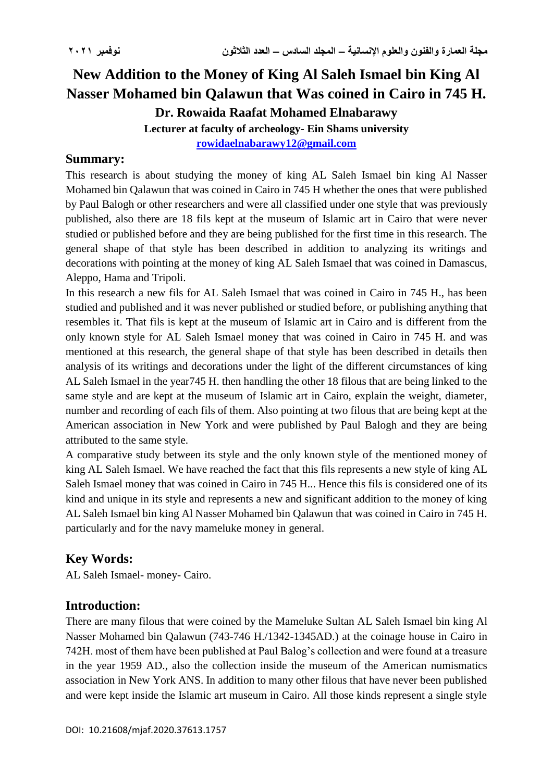# **New Addition to the Money of King Al Saleh Ismael bin King Al Nasser Mohamed bin Qalawun that Was coined in Cairo in 745 H. Dr. Rowaida Raafat Mohamed Elnabarawy Lecturer at faculty of archeology- Ein Shams university [rowidaelnabarawy12@gmail.com](mailto:rowidaelnabarawy12@gmail.com)**

#### **Summary:**

This research is about studying the money of king AL Saleh Ismael bin king Al Nasser Mohamed bin Qalawun that was coined in Cairo in 745 H whether the ones that were published by Paul Balogh or other researchers and were all classified under one style that was previously published, also there are 18 fils kept at the museum of Islamic art in Cairo that were never studied or published before and they are being published for the first time in this research. The general shape of that style has been described in addition to analyzing its writings and decorations with pointing at the money of king AL Saleh Ismael that was coined in Damascus, Aleppo, Hama and Tripoli.

In this research a new fils for AL Saleh Ismael that was coined in Cairo in 745 H., has been studied and published and it was never published or studied before, or publishing anything that resembles it. That fils is kept at the museum of Islamic art in Cairo and is different from the only known style for AL Saleh Ismael money that was coined in Cairo in 745 H. and was mentioned at this research, the general shape of that style has been described in details then analysis of its writings and decorations under the light of the different circumstances of king AL Saleh Ismael in the year745 H. then handling the other 18 filous that are being linked to the same style and are kept at the museum of Islamic art in Cairo, explain the weight, diameter, number and recording of each fils of them. Also pointing at two filous that are being kept at the American association in New York and were published by Paul Balogh and they are being attributed to the same style.

A comparative study between its style and the only known style of the mentioned money of king AL Saleh Ismael. We have reached the fact that this fils represents a new style of king AL Saleh Ismael money that was coined in Cairo in 745 H... Hence this fils is considered one of its kind and unique in its style and represents a new and significant addition to the money of king AL Saleh Ismael bin king Al Nasser Mohamed bin Qalawun that was coined in Cairo in 745 H. particularly and for the navy mameluke money in general.

## **Key Words:**

AL Saleh Ismael- money- Cairo.

### **Introduction:**

There are many filous that were coined by the Mameluke Sultan AL Saleh Ismael bin king Al Nasser Mohamed bin Qalawun (743-746 H./1342-1345AD.) at the coinage house in Cairo in 742H. most of them have been published at Paul Balog's collection and were found at a treasure in the year 1959 AD., also the collection inside the museum of the American numismatics association in New York ANS. In addition to many other filous that have never been published and were kept inside the Islamic art museum in Cairo. All those kinds represent a single style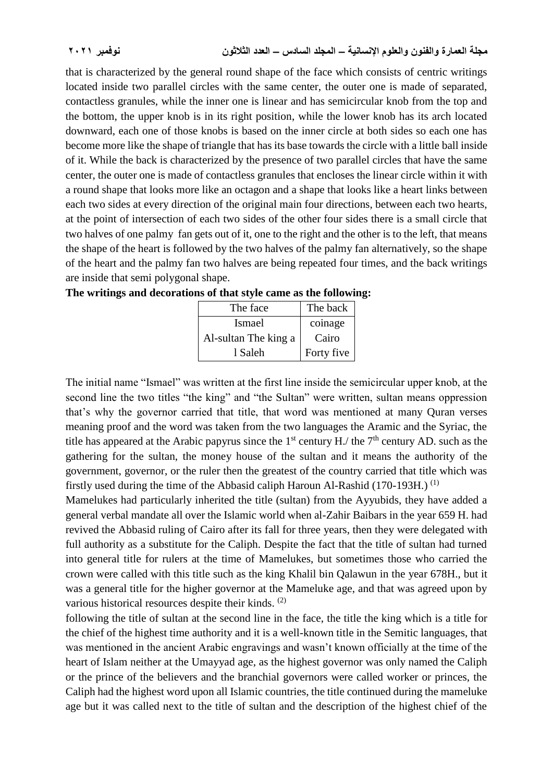that is characterized by the general round shape of the face which consists of centric writings located inside two parallel circles with the same center, the outer one is made of separated, contactless granules, while the inner one is linear and has semicircular knob from the top and the bottom, the upper knob is in its right position, while the lower knob has its arch located downward, each one of those knobs is based on the inner circle at both sides so each one has become more like the shape of triangle that has its base towards the circle with a little ball inside of it. While the back is characterized by the presence of two parallel circles that have the same center, the outer one is made of contactless granules that encloses the linear circle within it with a round shape that looks more like an octagon and a shape that looks like a heart links between each two sides at every direction of the original main four directions, between each two hearts, at the point of intersection of each two sides of the other four sides there is a small circle that two halves of one palmy fan gets out of it, one to the right and the other is to the left, that means the shape of the heart is followed by the two halves of the palmy fan alternatively, so the shape of the heart and the palmy fan two halves are being repeated four times, and the back writings are inside that semi polygonal shape.

| The face             | The back   |
|----------------------|------------|
| <b>Ismael</b>        | coinage    |
| Al-sultan The king a | Cairo      |
| 1 Saleh              | Forty five |

The initial name "Ismael" was written at the first line inside the semicircular upper knob, at the second line the two titles "the king" and "the Sultan" were written, sultan means oppression that's why the governor carried that title, that word was mentioned at many Quran verses meaning proof and the word was taken from the two languages the Aramic and the Syriac, the title has appeared at the Arabic papyrus since the 1<sup>st</sup> century H./ the 7<sup>th</sup> century AD. such as the gathering for the sultan, the money house of the sultan and it means the authority of the government, governor, or the ruler then the greatest of the country carried that title which was firstly used during the time of the Abbasid caliph Haroun Al-Rashid (170-193H.) (1)

Mamelukes had particularly inherited the title (sultan) from the Ayyubids, they have added a general verbal mandate all over the Islamic world when al-Zahir Baibars in the year 659 H. had revived the Abbasid ruling of Cairo after its fall for three years, then they were delegated with full authority as a substitute for the Caliph. Despite the fact that the title of sultan had turned into general title for rulers at the time of Mamelukes, but sometimes those who carried the crown were called with this title such as the king Khalil bin Qalawun in the year 678H., but it was a general title for the higher governor at the Mameluke age, and that was agreed upon by various historical resources despite their kinds. (2)

following the title of sultan at the second line in the face, the title the king which is a title for the chief of the highest time authority and it is a well-known title in the Semitic languages, that was mentioned in the ancient Arabic engravings and wasn't known officially at the time of the heart of Islam neither at the Umayyad age, as the highest governor was only named the Caliph or the prince of the believers and the branchial governors were called worker or princes, the Caliph had the highest word upon all Islamic countries, the title continued during the mameluke age but it was called next to the title of sultan and the description of the highest chief of the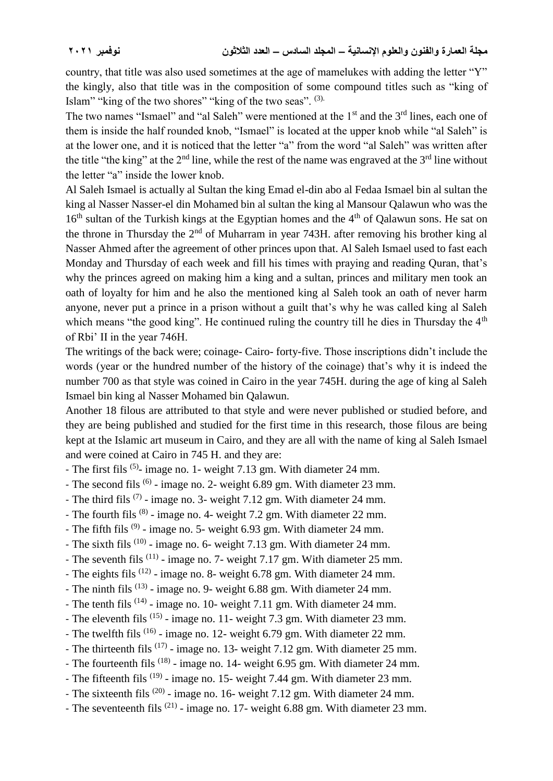country, that title was also used sometimes at the age of mamelukes with adding the letter "Y" the kingly, also that title was in the composition of some compound titles such as "king of Islam" "king of the two shores" "king of the two seas". <sup>(3).</sup>

The two names "Ismael" and "al Saleh" were mentioned at the  $1<sup>st</sup>$  and the  $3<sup>rd</sup>$  lines, each one of them is inside the half rounded knob, "Ismael" is located at the upper knob while "al Saleh" is at the lower one, and it is noticed that the letter "a" from the word "al Saleh" was written after the title "the king" at the  $2<sup>nd</sup>$  line, while the rest of the name was engraved at the  $3<sup>rd</sup>$  line without the letter "a" inside the lower knob.

Al Saleh Ismael is actually al Sultan the king Emad el-din abo al Fedaa Ismael bin al sultan the king al Nasser Nasser-el din Mohamed bin al sultan the king al Mansour Qalawun who was the  $16<sup>th</sup>$  sultan of the Turkish kings at the Egyptian homes and the 4<sup>th</sup> of Oalawun sons. He sat on the throne in Thursday the  $2<sup>nd</sup>$  of Muharram in year 743H. after removing his brother king al Nasser Ahmed after the agreement of other princes upon that. Al Saleh Ismael used to fast each Monday and Thursday of each week and fill his times with praying and reading Quran, that's why the princes agreed on making him a king and a sultan, princes and military men took an oath of loyalty for him and he also the mentioned king al Saleh took an oath of never harm anyone, never put a prince in a prison without a guilt that's why he was called king al Saleh which means "the good king". He continued ruling the country till he dies in Thursday the  $4<sup>th</sup>$ of Rbi' II in the year 746H.

The writings of the back were; coinage- Cairo- forty-five. Those inscriptions didn't include the words (year or the hundred number of the history of the coinage) that's why it is indeed the number 700 as that style was coined in Cairo in the year 745H. during the age of king al Saleh Ismael bin king al Nasser Mohamed bin Qalawun.

Another 18 filous are attributed to that style and were never published or studied before, and they are being published and studied for the first time in this research, those filous are being kept at the Islamic art museum in Cairo, and they are all with the name of king al Saleh Ismael and were coined at Cairo in 745 H. and they are:

- The first fils <sup>(5)</sup>- image no. 1- weight 7.13 gm. With diameter 24 mm.
- The second fils <sup>(6)</sup> image no. 2- weight 6.89 gm. With diameter 23 mm.
- The third fils  $(7)$  image no. 3- weight 7.12 gm. With diameter 24 mm.
- The fourth fils <sup>(8)</sup> image no. 4- weight 7.2 gm. With diameter 22 mm.
- The fifth fils <sup>(9)</sup> image no. 5- weight 6.93 gm. With diameter 24 mm.
- The sixth fils <sup>(10)</sup> image no. 6- weight 7.13 gm. With diameter 24 mm.
- The seventh fils  $(11)$  image no. 7- weight 7.17 gm. With diameter 25 mm.
- The eights fils  $(12)$  image no. 8- weight 6.78 gm. With diameter 24 mm.
- The ninth fils  $(13)$  image no. 9- weight 6.88 gm. With diameter 24 mm.
- The tenth fils  $(14)$  image no. 10- weight 7.11 gm. With diameter 24 mm.
- The eleventh fils <sup>(15)</sup> image no. 11- weight 7.3 gm. With diameter 23 mm.
- The twelfth fils <sup>(16)</sup> image no. 12- weight 6.79 gm. With diameter 22 mm.
- The thirteenth fils  $(17)$  image no. 13- weight 7.12 gm. With diameter 25 mm.
- The fourteenth fils <sup>(18)</sup> image no. 14- weight 6.95 gm. With diameter 24 mm.
- The fifteenth fils <sup>(19)</sup> image no. 15- weight 7.44 gm. With diameter 23 mm.
- The sixteenth fils  $(20)$  image no. 16- weight 7.12 gm. With diameter 24 mm.
- The seventeenth fils <sup>(21)</sup> image no. 17- weight 6.88 gm. With diameter 23 mm.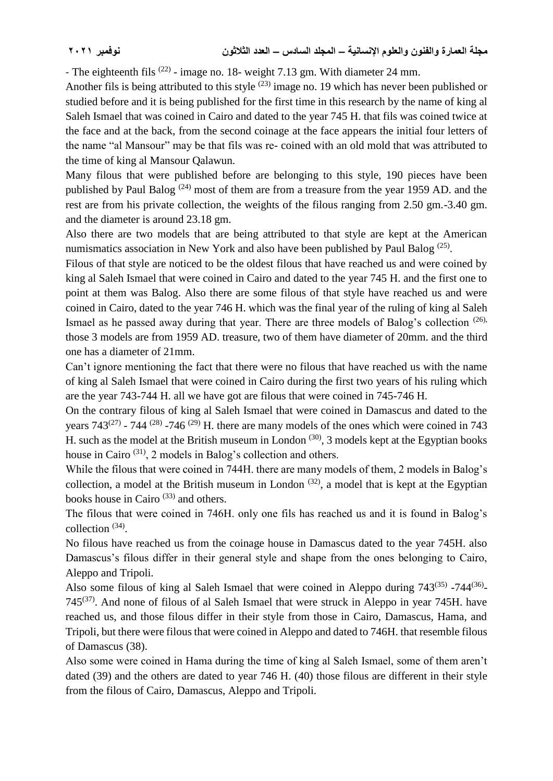- The eighteenth fils  $(22)$  - image no. 18- weight 7.13 gm. With diameter 24 mm.

Another fils is being attributed to this style  $(23)$  image no. 19 which has never been published or studied before and it is being published for the first time in this research by the name of king al Saleh Ismael that was coined in Cairo and dated to the year 745 H. that fils was coined twice at the face and at the back, from the second coinage at the face appears the initial four letters of the name "al Mansour" may be that fils was re- coined with an old mold that was attributed to the time of king al Mansour Qalawun.

Many filous that were published before are belonging to this style, 190 pieces have been published by Paul Balog  $(24)$  most of them are from a treasure from the year 1959 AD, and the rest are from his private collection, the weights of the filous ranging from 2.50 gm.-3.40 gm. and the diameter is around 23.18 gm.

Also there are two models that are being attributed to that style are kept at the American numismatics association in New York and also have been published by Paul Balog<sup>(25)</sup>.

Filous of that style are noticed to be the oldest filous that have reached us and were coined by king al Saleh Ismael that were coined in Cairo and dated to the year 745 H. and the first one to point at them was Balog. Also there are some filous of that style have reached us and were coined in Cairo, dated to the year 746 H. which was the final year of the ruling of king al Saleh Ismael as he passed away during that year. There are three models of Balog's collection (26), those 3 models are from 1959 AD. treasure, two of them have diameter of 20mm. and the third one has a diameter of 21mm.

Can't ignore mentioning the fact that there were no filous that have reached us with the name of king al Saleh Ismael that were coined in Cairo during the first two years of his ruling which are the year 743-744 H. all we have got are filous that were coined in 745-746 H.

On the contrary filous of king al Saleh Ismael that were coined in Damascus and dated to the years  $743^{(27)}$  -  $744^{(28)}$  -746  $^{(29)}$  H. there are many models of the ones which were coined in 743 H. such as the model at the British museum in London<sup> $(30)$ </sup>, 3 models kept at the Egyptian books house in Cairo<sup>(31)</sup>, 2 models in Balog's collection and others.

While the filous that were coined in 744H. there are many models of them, 2 models in Balog's collection, a model at the British museum in London  $(32)$ , a model that is kept at the Egyptian books house in Cairo<sup>(33)</sup> and others.

The filous that were coined in 746H. only one fils has reached us and it is found in Balog's collection  $(34)$ .

No filous have reached us from the coinage house in Damascus dated to the year 745H. also Damascus's filous differ in their general style and shape from the ones belonging to Cairo, Aleppo and Tripoli.

Also some filous of king al Saleh Ismael that were coined in Aleppo during  $743^{(35)}$  -744<sup>(36)</sup>- $745^{(37)}$ . And none of filous of al Saleh Ismael that were struck in Aleppo in year 745H. have reached us, and those filous differ in their style from those in Cairo, Damascus, Hama, and Tripoli, but there were filous that were coined in Aleppo and dated to 746H. that resemble filous of Damascus (38).

Also some were coined in Hama during the time of king al Saleh Ismael, some of them aren't dated (39) and the others are dated to year 746 H. (40) those filous are different in their style from the filous of Cairo, Damascus, Aleppo and Tripoli.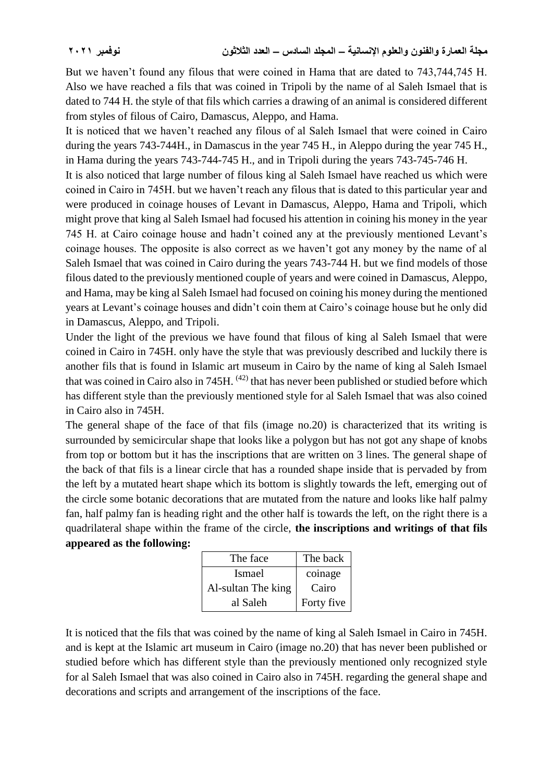But we haven't found any filous that were coined in Hama that are dated to 743,744,745 H. Also we have reached a fils that was coined in Tripoli by the name of al Saleh Ismael that is dated to 744 H. the style of that fils which carries a drawing of an animal is considered different from styles of filous of Cairo, Damascus, Aleppo, and Hama.

It is noticed that we haven't reached any filous of al Saleh Ismael that were coined in Cairo during the years 743-744H., in Damascus in the year 745 H., in Aleppo during the year 745 H., in Hama during the years 743-744-745 H., and in Tripoli during the years 743-745-746 H. It is also noticed that large number of filous king al Saleh Ismael have reached us which were coined in Cairo in 745H. but we haven't reach any filous that is dated to this particular year and were produced in coinage houses of Levant in Damascus, Aleppo, Hama and Tripoli, which might prove that king al Saleh Ismael had focused his attention in coining his money in the year 745 H. at Cairo coinage house and hadn't coined any at the previously mentioned Levant's coinage houses. The opposite is also correct as we haven't got any money by the name of al Saleh Ismael that was coined in Cairo during the years 743-744 H. but we find models of those filous dated to the previously mentioned couple of years and were coined in Damascus, Aleppo, and Hama, may be king al Saleh Ismael had focused on coining his money during the mentioned years at Levant's coinage houses and didn't coin them at Cairo's coinage house but he only did in Damascus, Aleppo, and Tripoli.

Under the light of the previous we have found that filous of king al Saleh Ismael that were coined in Cairo in 745H. only have the style that was previously described and luckily there is another fils that is found in Islamic art museum in Cairo by the name of king al Saleh Ismael that was coined in Cairo also in 745H.  $(42)$  that has never been published or studied before which has different style than the previously mentioned style for al Saleh Ismael that was also coined in Cairo also in 745H.

The general shape of the face of that fils (image no.20) is characterized that its writing is surrounded by semicircular shape that looks like a polygon but has not got any shape of knobs from top or bottom but it has the inscriptions that are written on 3 lines. The general shape of the back of that fils is a linear circle that has a rounded shape inside that is pervaded by from the left by a mutated heart shape which its bottom is slightly towards the left, emerging out of the circle some botanic decorations that are mutated from the nature and looks like half palmy fan, half palmy fan is heading right and the other half is towards the left, on the right there is a quadrilateral shape within the frame of the circle, **the inscriptions and writings of that fils appeared as the following:**

| The face           | The back   |
|--------------------|------------|
| <b>Ismael</b>      | coinage    |
| Al-sultan The king | Cairo      |
| al Saleh           | Forty five |

It is noticed that the fils that was coined by the name of king al Saleh Ismael in Cairo in 745H. and is kept at the Islamic art museum in Cairo (image no.20) that has never been published or studied before which has different style than the previously mentioned only recognized style for al Saleh Ismael that was also coined in Cairo also in 745H. regarding the general shape and decorations and scripts and arrangement of the inscriptions of the face.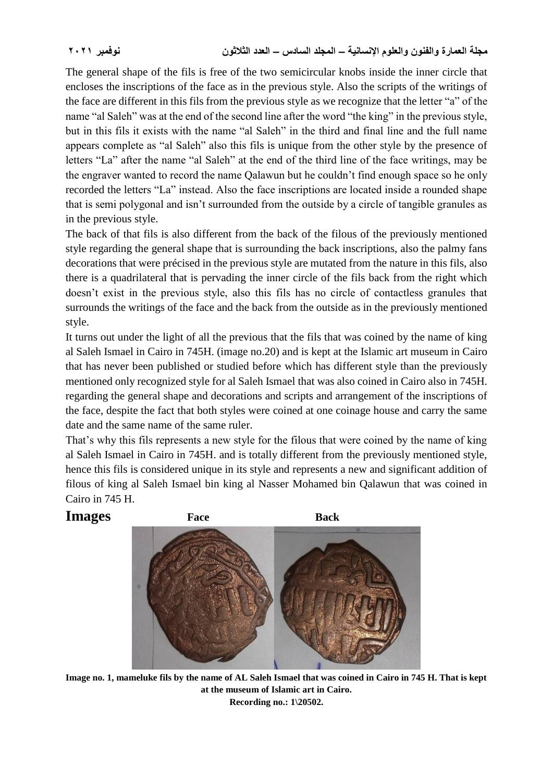The general shape of the fils is free of the two semicircular knobs inside the inner circle that encloses the inscriptions of the face as in the previous style. Also the scripts of the writings of the face are different in this fils from the previous style as we recognize that the letter "a" of the name "al Saleh" was at the end of the second line after the word "the king" in the previous style, but in this fils it exists with the name "al Saleh" in the third and final line and the full name appears complete as "al Saleh" also this fils is unique from the other style by the presence of letters "La" after the name "al Saleh" at the end of the third line of the face writings, may be the engraver wanted to record the name Qalawun but he couldn't find enough space so he only recorded the letters "La" instead. Also the face inscriptions are located inside a rounded shape that is semi polygonal and isn't surrounded from the outside by a circle of tangible granules as in the previous style.

The back of that fils is also different from the back of the filous of the previously mentioned style regarding the general shape that is surrounding the back inscriptions, also the palmy fans decorations that were précised in the previous style are mutated from the nature in this fils, also there is a quadrilateral that is pervading the inner circle of the fils back from the right which doesn't exist in the previous style, also this fils has no circle of contactless granules that surrounds the writings of the face and the back from the outside as in the previously mentioned style.

It turns out under the light of all the previous that the fils that was coined by the name of king al Saleh Ismael in Cairo in 745H. (image no.20) and is kept at the Islamic art museum in Cairo that has never been published or studied before which has different style than the previously mentioned only recognized style for al Saleh Ismael that was also coined in Cairo also in 745H. regarding the general shape and decorations and scripts and arrangement of the inscriptions of the face, despite the fact that both styles were coined at one coinage house and carry the same date and the same name of the same ruler.

That's why this fils represents a new style for the filous that were coined by the name of king al Saleh Ismael in Cairo in 745H. and is totally different from the previously mentioned style, hence this fils is considered unique in its style and represents a new and significant addition of filous of king al Saleh Ismael bin king al Nasser Mohamed bin Qalawun that was coined in Cairo in 745 H.



**Image no. 1, mameluke fils by the name of AL Saleh Ismael that was coined in Cairo in 745 H. That is kept at the museum of Islamic art in Cairo. Recording no.: 1\20502.**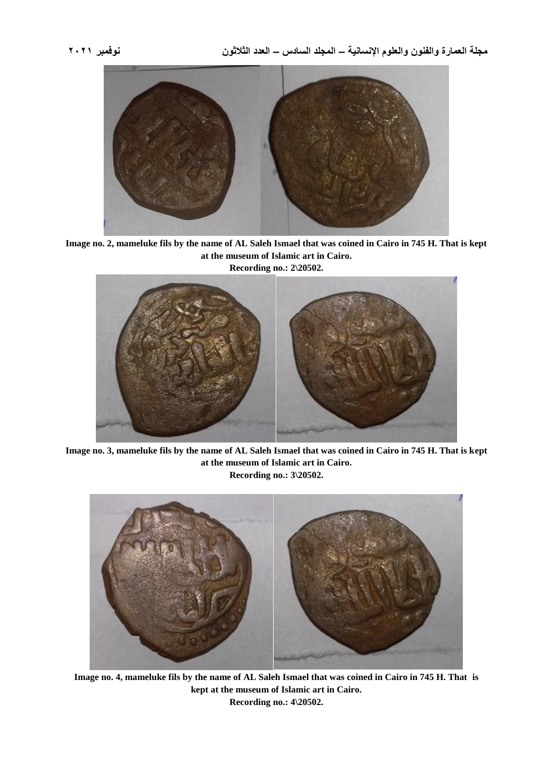**مجلة العمارة والفنون والعلوم اإلنسانية – المجلد السادس – العدد الثالثون نوفمبر 2021**



**Image no. 2, mameluke fils by the name of AL Saleh Ismael that was coined in Cairo in 745 H. That is kept at the museum of Islamic art in Cairo.**



**Image no. 3, mameluke fils by the name of AL Saleh Ismael that was coined in Cairo in 745 H. That is kept at the museum of Islamic art in Cairo. Recording no.: 3\20502.**



**Image no. 4, mameluke fils by the name of AL Saleh Ismael that was coined in Cairo in 745 H. That is kept at the museum of Islamic art in Cairo. Recording no.: 4\20502.**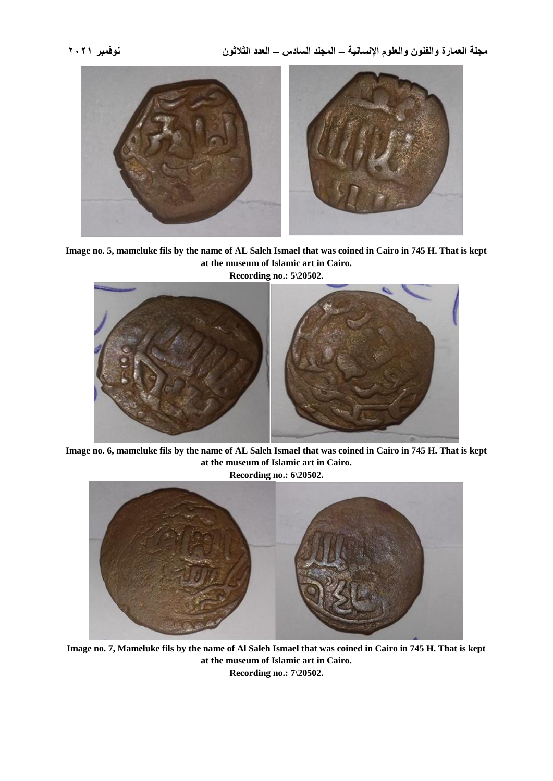**مجلة العمارة والفنون والعلوم اإلنسانية – المجلد السادس – العدد الثالثون نوفمبر 2021**



**Image no. 5, mameluke fils by the name of AL Saleh Ismael that was coined in Cairo in 745 H. That is kept at the museum of Islamic art in Cairo.**



**Image no. 6, mameluke fils by the name of AL Saleh Ismael that was coined in Cairo in 745 H. That is kept at the museum of Islamic art in Cairo.**



**Image no. 7, Mameluke fils by the name of Al Saleh Ismael that was coined in Cairo in 745 H. That is kept at the museum of Islamic art in Cairo. Recording no.: 7\20502.**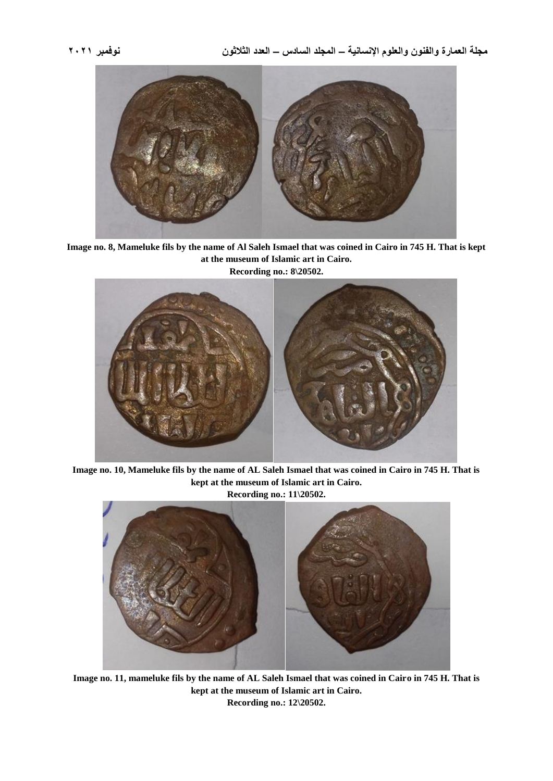

**Image no. 8, Mameluke fils by the name of Al Saleh Ismael that was coined in Cairo in 745 H. That is kept at the museum of Islamic art in Cairo. Recording no.: 8\20502.**



**Image no. 10, Mameluke fils by the name of AL Saleh Ismael that was coined in Cairo in 745 H. That is kept at the museum of Islamic art in Cairo.**



**Image no. 11, mameluke fils by the name of AL Saleh Ismael that was coined in Cairo in 745 H. That is kept at the museum of Islamic art in Cairo. Recording no.: 12\20502.**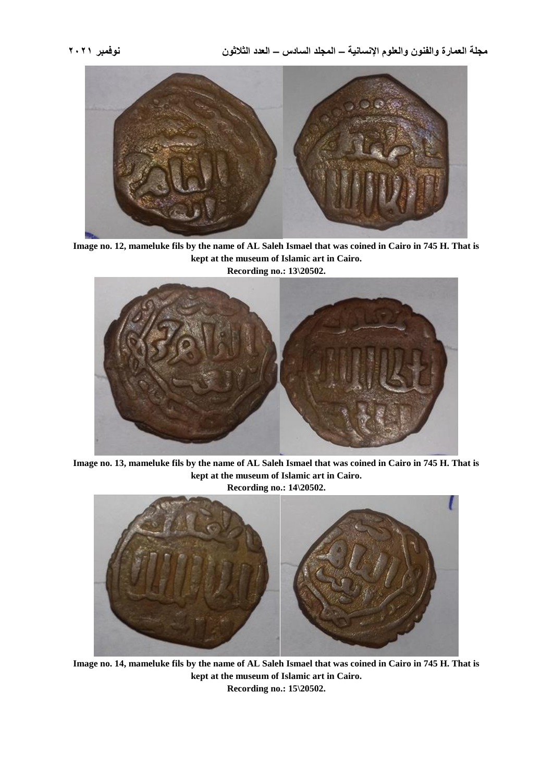



**Image no. 12, mameluke fils by the name of AL Saleh Ismael that was coined in Cairo in 745 H. That is kept at the museum of Islamic art in Cairo. Recording no.: 13\20502.**



**Image no. 13, mameluke fils by the name of AL Saleh Ismael that was coined in Cairo in 745 H. That is kept at the museum of Islamic art in Cairo.**

**Recording no.: 14\20502.**



**Image no. 14, mameluke fils by the name of AL Saleh Ismael that was coined in Cairo in 745 H. That is kept at the museum of Islamic art in Cairo. Recording no.: 15\20502.**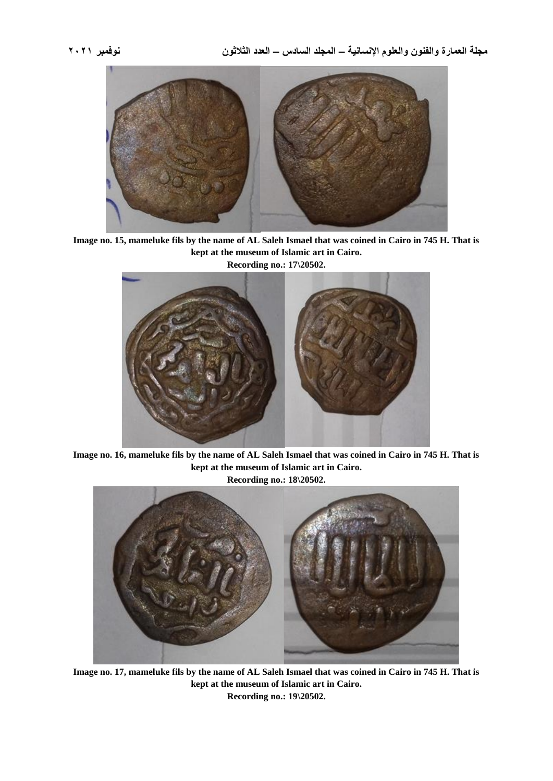**مجلة العمارة والفنون والعلوم اإلنسانية – المجلد السادس – العدد الثالثون نوفمبر 2021**



**Image no. 15, mameluke fils by the name of AL Saleh Ismael that was coined in Cairo in 745 H. That is kept at the museum of Islamic art in Cairo. Recording no.: 17\20502.**



**Image no. 16, mameluke fils by the name of AL Saleh Ismael that was coined in Cairo in 745 H. That is kept at the museum of Islamic art in Cairo. Recording no.: 18\20502.**



**Image no. 17, mameluke fils by the name of AL Saleh Ismael that was coined in Cairo in 745 H. That is kept at the museum of Islamic art in Cairo. Recording no.: 19\20502.**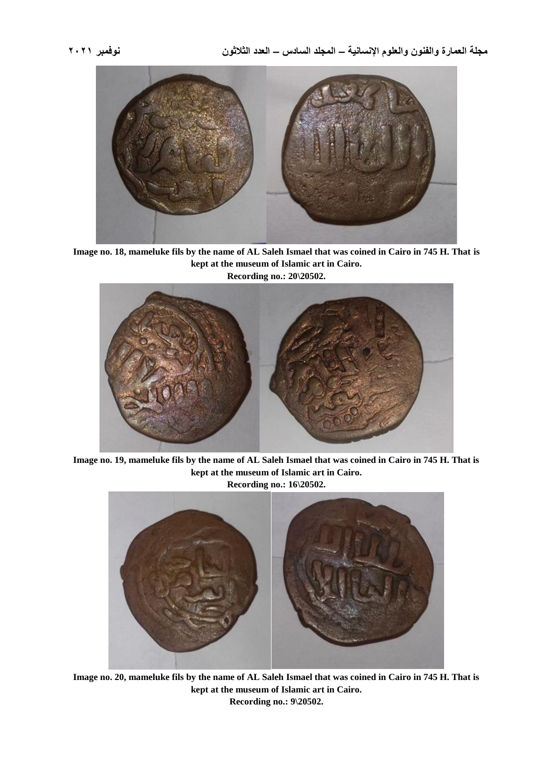



**Image no. 18, mameluke fils by the name of AL Saleh Ismael that was coined in Cairo in 745 H. That is kept at the museum of Islamic art in Cairo. Recording no.: 20\20502.**



**Image no. 19, mameluke fils by the name of AL Saleh Ismael that was coined in Cairo in 745 H. That is kept at the museum of Islamic art in Cairo. Recording no.: 16\20502.**



**Image no. 20, mameluke fils by the name of AL Saleh Ismael that was coined in Cairo in 745 H. That is kept at the museum of Islamic art in Cairo. Recording no.: 9\20502.**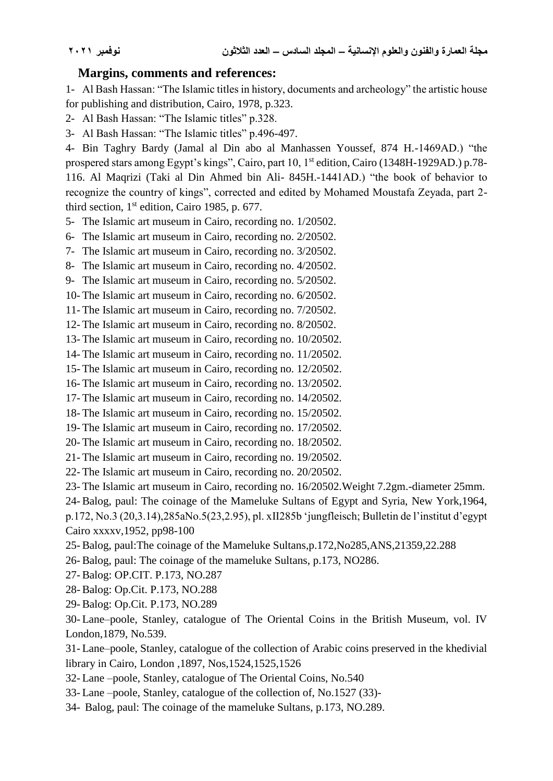### **Margins, comments and references:**

1- Al Bash Hassan: "The Islamic titles in history, documents and archeology" the artistic house for publishing and distribution, Cairo, 1978, p.323.

2- Al Bash Hassan: "The Islamic titles" p.328.

3- Al Bash Hassan: "The Islamic titles" p.496-497.

4- Bin Taghry Bardy (Jamal al Din abo al Manhassen Youssef, 874 H.-1469AD.) "the prospered stars among Egypt's kings", Cairo, part 10, 1<sup>st</sup> edition, Cairo (1348H-1929AD.) p.78-116. Al Maqrizi (Taki al Din Ahmed bin Ali- 845H.-1441AD.) "the book of behavior to recognize the country of kings", corrected and edited by Mohamed Moustafa Zeyada, part 2 third section, 1st edition, Cairo 1985, p. 677.

5- The Islamic art museum in Cairo, recording no. 1/20502.

6- The Islamic art museum in Cairo, recording no. 2/20502.

7- The Islamic art museum in Cairo, recording no. 3/20502.

8- The Islamic art museum in Cairo, recording no. 4/20502.

9- The Islamic art museum in Cairo, recording no. 5/20502.

10- The Islamic art museum in Cairo, recording no. 6/20502.

11- The Islamic art museum in Cairo, recording no. 7/20502.

12- The Islamic art museum in Cairo, recording no. 8/20502.

13- The Islamic art museum in Cairo, recording no. 10/20502.

14- The Islamic art museum in Cairo, recording no. 11/20502.

15- The Islamic art museum in Cairo, recording no. 12/20502.

16- The Islamic art museum in Cairo, recording no. 13/20502.

17- The Islamic art museum in Cairo, recording no. 14/20502.

18- The Islamic art museum in Cairo, recording no. 15/20502.

19- The Islamic art museum in Cairo, recording no. 17/20502.

20- The Islamic art museum in Cairo, recording no. 18/20502.

21- The Islamic art museum in Cairo, recording no. 19/20502.

22- The Islamic art museum in Cairo, recording no. 20/20502.

23- The Islamic art museum in Cairo, recording no. 16/20502.Weight 7.2gm.-diameter 25mm.

24- Balog, paul: The coinage of the Mameluke Sultans of Egypt and Syria, New York,1964, p.172, No.3 (20,3.14),285aNo.5(23,2.95), pl. xII285b 'jungfleisch; Bulletin de l'institut d'egypt Cairo xxxxv,1952, pp98-100

25- Balog, paul:The coinage of the Mameluke Sultans,p.172,No285,ANS,21359,22.288

26- Balog, paul: The coinage of the mameluke Sultans, p.173, NO286.

27- Balog: OP.CIT. P.173, NO.287

28- Balog: Op.Cit. P.173, NO.288

29- Balog: Op.Cit. P.173, NO.289

30- Lane–poole, Stanley, catalogue of The Oriental Coins in the British Museum, vol. IV London,1879, No.539.

31- Lane–poole, Stanley, catalogue of the collection of Arabic coins preserved in the khedivial library in Cairo, London ,1897, Nos,1524,1525,1526

32- Lane –poole, Stanley, catalogue of The Oriental Coins, No.540

33- Lane –poole, Stanley, catalogue of the collection of, No.1527 (33)-

34- Balog, paul: The coinage of the mameluke Sultans, p.173, NO.289.